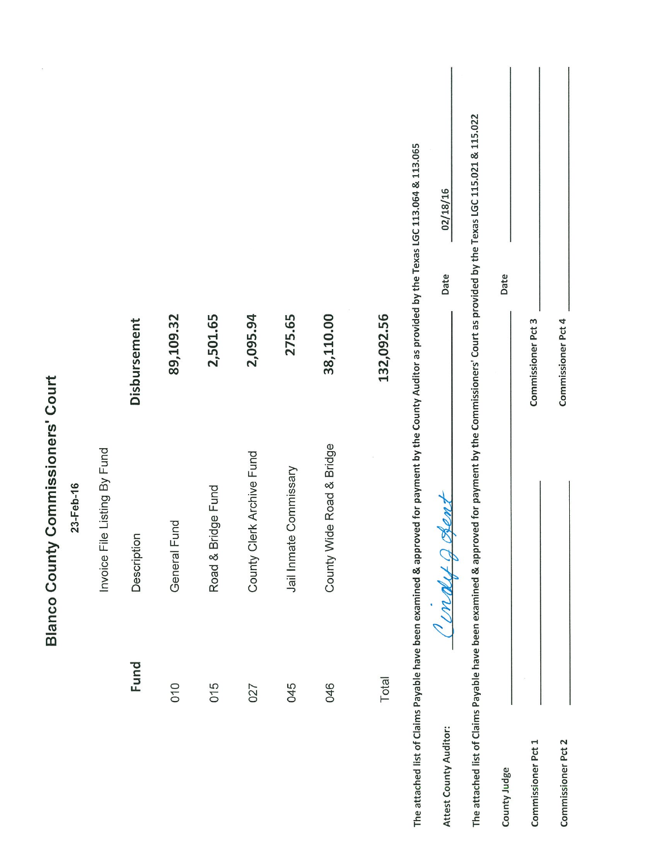|                                                                                                                                                          | <b>Blanco County Commissioners' Court</b> |                    |          |
|----------------------------------------------------------------------------------------------------------------------------------------------------------|-------------------------------------------|--------------------|----------|
|                                                                                                                                                          | 23-Feb-16                                 |                    |          |
|                                                                                                                                                          | Invoice File Listing By Fund              |                    |          |
| Fund                                                                                                                                                     | Description                               | Disbursement       |          |
| 010                                                                                                                                                      | Fund<br>General                           | 89,109.32          |          |
| 015                                                                                                                                                      | Road & Bridge Fund                        | 2,501.65           |          |
| 027                                                                                                                                                      | County Clerk Archive Fund                 | 2,095.94           |          |
| 045                                                                                                                                                      | Jail Inmate Commissary                    | 275.65             |          |
| 046                                                                                                                                                      | County Wide Road & Bridge                 | 38,110.00          |          |
| Total                                                                                                                                                    |                                           | 132,092.56         |          |
| The attached list of Claims Payable have been examined & approved for payment by the County Auditor as provided by the Texas LGC 113.064 & 113.065       |                                           |                    |          |
| Attest County Auditor:                                                                                                                                   | OPENZ<br>i indut a                        | Date               | 02/18/16 |
| The attached list of Claims Payable have been examined & approved for payment by the Commissioners' Court as provided by the Texas LGC 115.021 & 115.022 |                                           |                    |          |
| County Judge                                                                                                                                             |                                           | Date               |          |
| Commissioner Pct 1                                                                                                                                       |                                           | Commissioner Pct 3 |          |
| Commissioner Pct 2                                                                                                                                       |                                           | Commissioner Pct 4 |          |
|                                                                                                                                                          |                                           |                    |          |

 $\hat{\mathcal{S}}$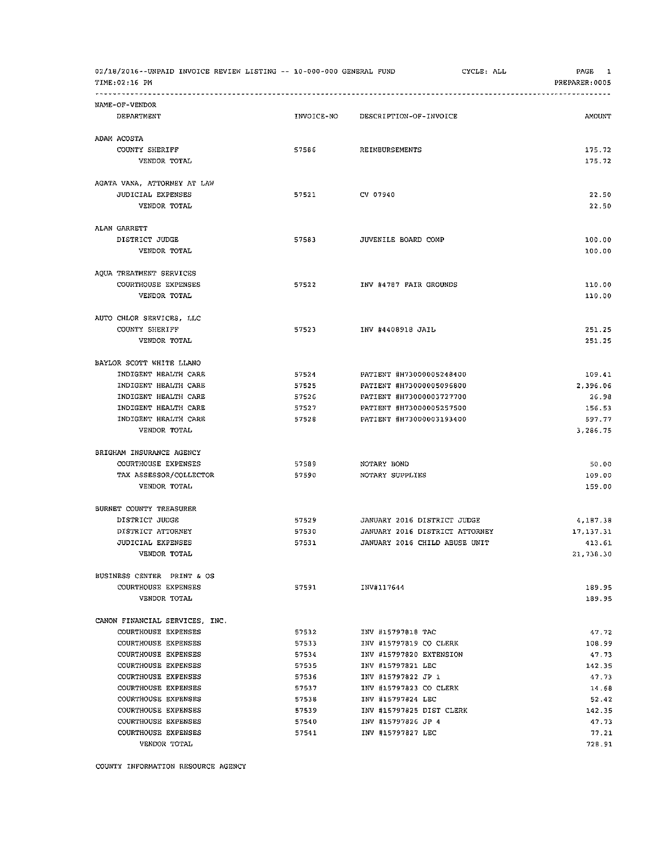| 02/18/2016--UNPAID INVOICE REVIEW LISTING -- 10-000-000 GENERAL FUND<br>TIME:02:16 PM |                |                                                   | CYCLE: ALL | PAGE<br>1<br>PREPARER: 0005 |
|---------------------------------------------------------------------------------------|----------------|---------------------------------------------------|------------|-----------------------------|
| NAME-OF-VENDOR                                                                        |                |                                                   |            |                             |
| DEPARTMENT                                                                            | INVOICE-NO     | DESCRIPTION-OF-INVOICE                            |            | <b>AMOUNT</b>               |
| ADAM ACOSTA                                                                           |                |                                                   |            |                             |
| COUNTY SHERIFF                                                                        | 57586          | REIMBURSEMENTS                                    |            | 175.72                      |
| VENDOR TOTAL                                                                          |                |                                                   |            | 175.72                      |
| AGATA VANA, ATTORNEY AT LAW                                                           |                |                                                   |            |                             |
| JUDICIAL EXPENSES                                                                     | 57521          | CV 07940                                          |            | 22.50                       |
| VENDOR TOTAL                                                                          |                |                                                   |            | 22.50                       |
| ALAN GARRETT                                                                          |                |                                                   |            |                             |
| DISTRICT JUDGE                                                                        | 57583          | JUVENILE BOARD COMP                               |            | 100.00                      |
| VENDOR TOTAL                                                                          |                |                                                   |            | 100.00                      |
| AQUA TREATMENT SERVICES                                                               |                |                                                   |            |                             |
| COURTHOUSE EXPENSES                                                                   | 57522          | INV #4787 FAIR GROUNDS                            |            | 110.00                      |
| VENDOR TOTAL                                                                          |                |                                                   |            | 110.00                      |
| AUTO CHLOR SERVICES, LLC                                                              |                |                                                   |            |                             |
| COUNTY SHERIFF                                                                        | 57523          | INV #4408918 JAIL                                 |            | 251.25                      |
| VENDOR TOTAL                                                                          |                |                                                   |            | 251.25                      |
| BAYLOR SCOTT WHITE LLANO                                                              |                |                                                   |            |                             |
| INDIGENT HEALTH CARE                                                                  | 57524          | PATIENT #H73000005248400                          |            | 109.41                      |
| INDIGENT HEALTH CARE                                                                  | 57525          | PATIENT #H73000005096800                          |            | 2,396.06                    |
| INDIGENT HEALTH CARE                                                                  | 57526          | PATIENT #H73000003727700                          |            | 26.98                       |
| INDIGENT HEALTH CARE                                                                  | 57527          | PATIENT #H73000005257500                          |            | 156.53                      |
| INDIGENT HEALTH CARE                                                                  | 57528          | PATIENT #H73000003193400                          |            | 597.77                      |
| VENDOR TOTAL                                                                          |                |                                                   |            | 3,286.75                    |
| BRIGHAM INSURANCE AGENCY                                                              |                |                                                   |            |                             |
| COURTHOUSE EXPENSES                                                                   | 57589          | NOTARY BOND                                       |            | 50.00                       |
| TAX ASSESSOR/COLLECTOR                                                                | 57590          | NOTARY SUPPLIES                                   |            | 109.00                      |
| VENDOR TOTAL                                                                          |                |                                                   |            | 159.00                      |
| BURNET COUNTY TREASURER                                                               |                |                                                   |            |                             |
| DISTRICT JUDGE                                                                        | 57529          | JANUARY 2016 DISTRICT JUDGE                       |            | 4,187.38                    |
| DISTRICT ATTORNEY                                                                     | 57530          | JANUARY 2016 DISTRICT ATTORNEY                    |            | 17.137.31                   |
| JUDICIAL EXPENSES                                                                     | 57531          | JANUARY 2016 CHILD ABUSE UNIT                     |            | 413.61                      |
| VENDOR TOTAL                                                                          |                |                                                   |            | 21,738.30                   |
| BUSINESS CENTER PRINT & OS                                                            |                |                                                   |            |                             |
| COURTHOUSE EXPENSES<br>VENDOR TOTAL                                                   | 57591          | INV#117644                                        |            | 189.95<br>189.95            |
|                                                                                       |                |                                                   |            |                             |
| CANON FINANCIAL SERVICES, INC.                                                        |                |                                                   |            |                             |
| COURTHOUSE EXPENSES<br>COURTHOUSE EXPENSES                                            | 57532          | INV #15797818 TAC                                 |            | 47.72<br>108.99             |
| <b>COURTHOUSE EXPENSES</b>                                                            | 57533<br>57534 | INV #15797819 CO CLERK<br>INV #15797820 EXTENSION |            |                             |
| <b>COURTHOUSE EXPENSES</b>                                                            |                |                                                   |            | 47.73                       |
| COURTHOUSE EXPENSES                                                                   | 57535<br>57536 | INV #15797821 LEC<br>INV #15797822 JP 1           |            | 142.35                      |
| COURTHOUSE EXPENSES                                                                   | 57537          | INV #15797823 CO CLERK                            |            | 47.73<br>14.68              |
| COURTHOUSE EXPENSES                                                                   | 57538          | INV #15797824 LEC                                 |            | 52.42                       |
| COURTHOUSE EXPENSES                                                                   | 57539          | INV #15797825 DIST CLERK                          |            | 142.35                      |
| COURTHOUSE EXPENSES                                                                   | 57540          | INV #15797826 JP 4                                |            | 47.73                       |
| COURTHOUSE EXPENSES                                                                   | 57541          | INV #15797827 LEC                                 |            | 77.21                       |
| VENDOR TOTAL                                                                          |                |                                                   |            | 728.91                      |
|                                                                                       |                |                                                   |            |                             |

COUNTY INFORMATION RESOURCE AGENCY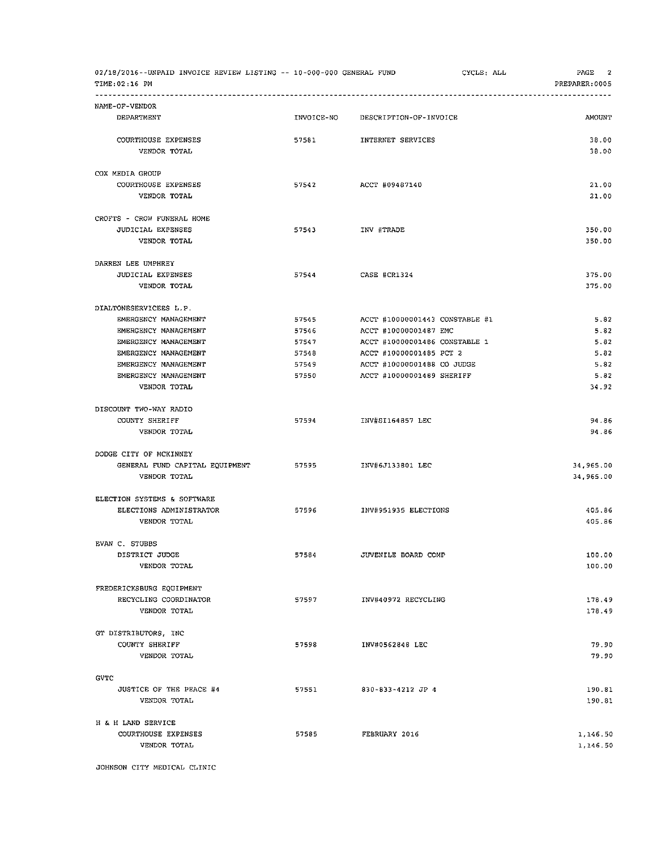| 02/18/2016--UNPAID INVOICE REVIEW LISTING -- 10-000-000 GENERAL FUND<br>TIME: 02:16 PM |                |                         | CYCLE: ALL                     | PAGE<br>2<br>PREPARER: 0005 |
|----------------------------------------------------------------------------------------|----------------|-------------------------|--------------------------------|-----------------------------|
| NAME-OF-VENDOR                                                                         |                |                         |                                |                             |
| DEPARTMENT                                                                             | INVOICE-NO     | DESCRIPTION-OF-INVOICE  |                                | <b>AMOUNT</b>               |
| COURTHOUSE EXPENSES                                                                    | 57581          | INTERNET SERVICES       |                                | 38.00                       |
| VENDOR TOTAL                                                                           |                |                         |                                | 38.00                       |
| COX MEDIA GROUP                                                                        |                |                         |                                |                             |
| COURTHOUSE EXPENSES                                                                    | 57542          | ACCT #09487140          |                                | 21.00                       |
| VENDOR TOTAL                                                                           |                |                         |                                | 21,00                       |
| CROFTS - CROW FUNERAL HOME                                                             |                |                         |                                |                             |
| JUDICIAL EXPENSES                                                                      | 57543          | INV #TRADE              |                                | 350.00                      |
| VENDOR TOTAL                                                                           |                |                         |                                | 350.00                      |
| DARREN LEE UMPHREY                                                                     |                |                         |                                |                             |
| <b>JUDICIAL EXPENSES</b>                                                               | 57544          | CASE #CR1324            |                                | 375.00                      |
| VENDOR TOTAL                                                                           |                |                         |                                | 375.00                      |
| DIALTONESERVICEES L.P.                                                                 |                |                         |                                |                             |
| EMERGENCY MANAGEMENT                                                                   | 57545          |                         | ACCT #10000001443 CONSTABLE #1 | 5.82                        |
| EMERGENCY MANAGEMENT                                                                   | 57546          | ACCT #10000001487 EMC   |                                | 5.82                        |
| EMERGENCY MANAGEMENT                                                                   | 57547          |                         | ACCT #10000001486 CONSTABLE 1  | 5.82                        |
| EMERGENCY MANAGEMENT                                                                   | 57548          | ACCT #10000001485 PCT 2 |                                | 5.82                        |
| EMERGENCY MANAGEMENT<br>EMERGENCY MANAGEMENT                                           | 57549<br>57550 |                         | ACCT #10000001488 CO JUDGE     | 5.82<br>5.82                |
| VENDOR TOTAL                                                                           |                |                         | ACCT #10000001489 SHERIFF      | 34.92                       |
| DISCOUNT TWO-WAY RADIO                                                                 |                |                         |                                |                             |
| COUNTY SHERIFF                                                                         | 57594          | INV#5I164857 LEC        |                                | 94.86                       |
| VENDOR TOTAL                                                                           |                |                         |                                | 94.86                       |
| DODGE CITY OF MCKINNEY                                                                 |                |                         |                                |                             |
| GENERAL FUND CAPITAL EQUIPMENT                                                         | 57595          | INV#6J133801 LEC        |                                | 34,965.00                   |
| VENDOR TOTAL                                                                           |                |                         |                                | 34,965.00                   |
| ELECTION SYSTEMS & SOFTWARE                                                            |                |                         |                                |                             |
| ELECTIONS ADMINISTRATOR                                                                | 57596          | INV#951935 ELECTIONS    |                                | 405.86                      |
| VENDOR TOTAL                                                                           |                |                         |                                | 405.86                      |
| EVAN C. STUBBS                                                                         |                |                         |                                |                             |
| DISTRICT JUDGE                                                                         | 57584          | JUVENILE BOARD COMP     |                                | 100.00                      |
| VENDOR TOTAL                                                                           |                |                         |                                | 100.00                      |
| FREDERICKSBURG EQUIPMENT                                                               |                |                         |                                |                             |
| RECYCLING COORDINATOR                                                                  | 57597          | INV#40972 RECYCLING     |                                | 178.49                      |
| VENDOR TOTAL                                                                           |                |                         |                                | 178.49                      |
| GT DISTRIBUTORS, INC                                                                   |                |                         |                                |                             |
| COUNTY SHERIFF                                                                         | 57598          | INV#0562848 LEC         |                                | 79.90                       |
| VENDOR TOTAL                                                                           |                |                         |                                | 79.90                       |
| GVTC                                                                                   |                |                         |                                |                             |
| JUSTICE OF THE PEACE #4                                                                | 57551          | 830-833-4212 JP 4       |                                | 190.81                      |
| VENDOR TOTAL                                                                           |                |                         |                                | 190.81                      |
| H & H LAND SERVICE                                                                     |                |                         |                                |                             |
| COURTHOUSE EXPENSES                                                                    | 57585          | FEBRUARY 2016           |                                | 1,146.50                    |
| VENDOR TOTAL                                                                           |                |                         |                                | 1,146.50                    |

JOHNSON CITY MEDICAL CLINIC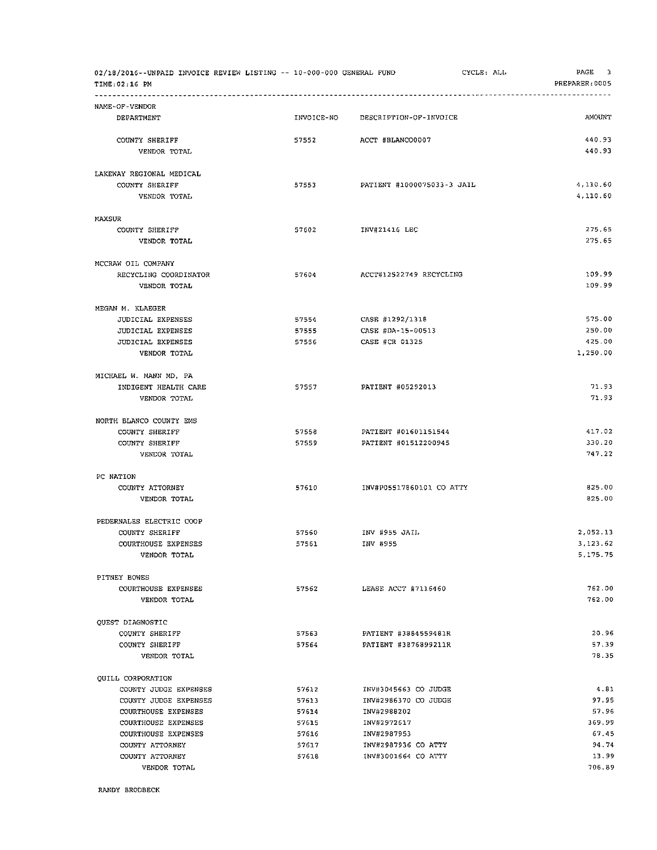| 02/18/2016--UNPAID INVOICE REVIEW LISTING -- 10-000-000 GENERAL FUND<br>TIME: 02:16 PM |                |                                    | CYCLE: ALL | PAGE<br>3<br>PREPARER: 0005 |
|----------------------------------------------------------------------------------------|----------------|------------------------------------|------------|-----------------------------|
| NAME-OF-VENDOR                                                                         |                |                                    |            |                             |
| DEPARTMENT                                                                             | INVOICE-NO     | DESCRIPTION-OF-INVOICE             |            | <b>AMOUNT</b>               |
| COUNTY SHERIFF                                                                         | 57552          | ACCT #BLANCO0007                   |            | 440.93                      |
| VENDOR TOTAL                                                                           |                |                                    |            | 440.93                      |
| LAKEWAY REGIONAL MEDICAL                                                               |                |                                    |            |                             |
| COUNTY SHERIFF<br>VENDOR TOTAL                                                         | 57553          | PATIENT #1000075033-3 JAIL         |            | 4,110.60<br>4,110.60        |
| MAXSUR                                                                                 |                |                                    |            |                             |
| COUNTY SHERIFF                                                                         | 57602          | INV#21416 LEC                      |            | 275.65                      |
| VENDOR TOTAL                                                                           |                |                                    |            | 275.65                      |
| MCCRAW OIL COMPANY                                                                     |                |                                    |            |                             |
| RECYCLING COORDINATOR                                                                  | 57604          | ACCT#12522749 RECYCLING            |            | 109.99                      |
| VENDOR TOTAL                                                                           |                |                                    |            | 109.99                      |
| MEGAN M. KLAEGER                                                                       |                |                                    |            |                             |
| <b>JUDICIAL EXPENSES</b>                                                               | 57554          | CASE #1292/1318                    |            | 575.00                      |
| <b>JUDICIAL EXPENSES</b>                                                               | 57555          | CASE #DA-15-00513                  |            | 250.00                      |
| JUDICIAL EXPENSES                                                                      | 57556          | CASE #CR 01325                     |            | 425.00                      |
| VENDOR TOTAL                                                                           |                |                                    |            | 1,250.00                    |
| MICHAEL W. MANN MD, PA                                                                 |                |                                    |            |                             |
| INDIGENT HEALTH CARE                                                                   | 57557          | PATIENT #05292013                  |            | 71.93                       |
| VENDOR TOTAL                                                                           |                |                                    |            | 71.93                       |
| NORTH BLANCO COUNTY EMS                                                                |                |                                    |            |                             |
| COUNTY SHERIFF                                                                         | 57558          | PATIENT #01601151544               |            | 417.02                      |
| COUNTY SHERIFF<br>VENDOR TOTAL                                                         | 57559          | PATIENT #01512200945               |            | 330.20<br>747.22            |
|                                                                                        |                |                                    |            |                             |
| PC NATION                                                                              |                |                                    |            |                             |
| COUNTY ATTORNEY<br>VENDOR TOTAL                                                        | 57610          | INV#P05517860101 CO ATTY           |            | 825.00<br>825.00            |
| PEDERNALES ELECTRIC COOP                                                               |                |                                    |            |                             |
| COUNTY SHERIFF                                                                         | 57560          | INV #955 JAIL                      |            | 2,052.13                    |
| COURTHOUSE EXPENSES                                                                    | 57561          | INV #955                           |            | 3,123.62                    |
| VENDOR TOTAL                                                                           |                |                                    |            | 5,175.75                    |
| PITNEY BOWES                                                                           |                |                                    |            |                             |
| COURTHOUSE EXPENSES                                                                    | 57562          | LEASE ACCT #7116460                |            | 762.00                      |
| VENDOR TOTAL                                                                           |                |                                    |            | 762.00                      |
| QUEST DIAGNOSTIC                                                                       |                |                                    |            |                             |
| COUNTY SHERIFF                                                                         | 57563          | PATIENT #3884559481R               |            | 20.96                       |
| COUNTY SHERIFF                                                                         | 57564          | PATIENT #3876899211R               |            | 57.39                       |
| VENDOR TOTAL                                                                           |                |                                    |            | 78.35                       |
| QUILL CORPORATION                                                                      |                |                                    |            |                             |
| COUNTY JUDGE EXPENSES                                                                  | 57612          | INV#3045663 CO JUDGE               |            | 4.81                        |
| COUNTY JUDGE EXPENSES                                                                  | 57613          | INV#2986370 CO JUDGE               |            | 97.95                       |
| COURTHOUSE EXPENSES                                                                    | 57614          | INV#2988202                        |            | 57.96                       |
| COURTHOUSE EXPENSES                                                                    | 57615          | INV#2972617                        |            | 369.99                      |
| COURTHOUSE EXPENSES<br>COUNTY ATTORNEY                                                 | 57616<br>57617 | INV#2987953<br>INV#2987936 CO ATTY |            | 67.45<br>94,74              |
| COUNTY ATTORNEY                                                                        | 57618          | INV#3001664 CO ATTY                |            | 13.99                       |
| VENDOR TOTAL                                                                           |                |                                    |            | 706.89                      |
|                                                                                        |                |                                    |            |                             |

RANDY BRODBECK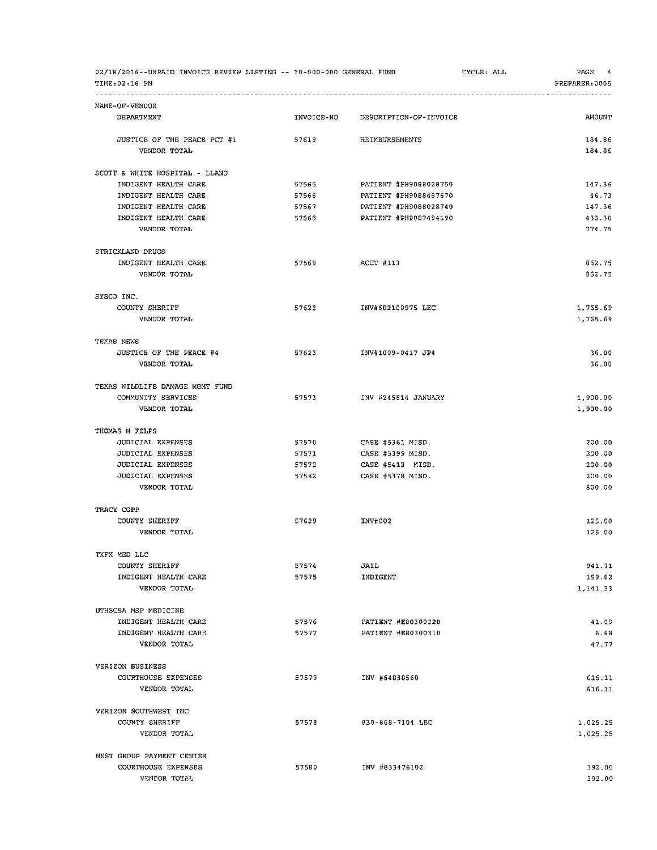| 02/18/2016--UNPAID INVOICE REVIEW LISTING -- 10-000-000 GENERAL FUND<br>TIME: 02:16 PM |            |                        | CYCLE: ALL | PAGE 4<br>PREPARER: 0005 |
|----------------------------------------------------------------------------------------|------------|------------------------|------------|--------------------------|
|                                                                                        |            |                        |            |                          |
| NAME-OF-VENDOR<br>DEPARTMENT                                                           | INVOICE-NO | DESCRIPTION-OF-INVOICE |            | AMOUNT                   |
| JUSTICE OF THE PEACE PCT #1<br>VENDOR TOTAL                                            | 57619      | REIMBURSEMENTS         |            | 184.86<br>184.86         |
| SCOTT & WHITE HOSPITAL - LLANO                                                         |            |                        |            |                          |
| INDIGENT HEALTH CARE                                                                   | 57565      | PATIENT #PH9088028750  |            | 147.36                   |
| INDIGENT HEALTH CARE                                                                   | 57566      | PATIENT #PH9088487670  |            | 46.73                    |
| INDIGENT HEALTH CARE                                                                   | 57567      | PATIENT #PH9088028740  |            | 147.36                   |
| INDIGENT HEALTH CARE                                                                   | 57568      | PATIENT #PH9087494190  |            | 433.30                   |
| VENDOR TOTAL                                                                           |            |                        |            | 774.75                   |
| STRICKLAND DRUGS                                                                       |            |                        |            |                          |
| INDIGENT HEALTH CARE                                                                   | 57569      | ACCT #113              |            | 862.75                   |
| VENDOR TOTAL                                                                           |            |                        |            | 862.75                   |
| SYSCO INC.                                                                             |            |                        |            |                          |
| COUNTY SHERIFF                                                                         | 57622      | INV#602100975 LEC      |            | 1,765.69                 |
| VENDOR TOTAL                                                                           |            |                        |            | 1,765.69                 |
| TEXAS NEWS                                                                             |            |                        |            |                          |
| JUSTICE OF THE PEACE #4                                                                | 57623      | INV#1009-0417 JP4      |            | 36.00                    |
| VENDOR TOTAL                                                                           |            |                        |            | 36.00                    |
| TEXAS WILDLIFE DAMAGE MGMT FUND                                                        |            |                        |            |                          |
| COMMUNITY SERVICES                                                                     | 57573      | INV #245814 JANUARY    |            | 1,900.00                 |
| VENDOR TOTAL                                                                           |            |                        |            | 1,900.00                 |
| THOMAS M FELPS                                                                         |            |                        |            |                          |
| JUDICIAL EXPENSES                                                                      | 57570      | CASE #5361 MISD.       |            | 200.00                   |
| JUDICIAL EXPENSES                                                                      | 57571      | CASE #5399 MISD.       |            | 200.00                   |
| JUDICIAL EXPENSES                                                                      | 57572      | CASE #5413 MISD.       |            | 200.00                   |
| JUDICIAL EXPENSES<br>VENDOR TOTAL                                                      | 57582      | CASE #5378 MISD.       |            | 200.00<br>800.00         |
|                                                                                        |            |                        |            |                          |
| TRACY COPP                                                                             |            |                        |            |                          |
| COUNTY SHERIFF<br>VENDOR TOTAL                                                         | 57629      | INV#002                |            | 125.00<br>125.00         |
| TXFX MED LLC                                                                           |            |                        |            |                          |
| COUNTY SHERIFF                                                                         | 57574      | JAIL                   |            | 941.71                   |
| INDIGENT HEALTH CARE                                                                   | 57575      | INDIGENT               |            | 199.62                   |
| VENDOR TOTAL                                                                           |            |                        |            | 1,141.33                 |
| UTHSCSA MSP MEDICINE                                                                   |            |                        |            |                          |
| INDIGENT HEALTH CARE                                                                   | 57576      | PATIENT #E80300320     |            | 41.09                    |
| INDIGENT HEALTH CARE                                                                   | 57577      | PATIENT #E80300310     |            | 6.68                     |
| VENDOR TOTAL                                                                           |            |                        |            | 47.77                    |
| VERIZON BUSINESS                                                                       |            |                        |            |                          |
| COURTHOUSE EXPENSES                                                                    | 57579      | INV #64888560          |            | 616.11                   |
| VENDOR TOTAL                                                                           |            |                        |            | 616.11                   |
| VERIZON SOUTHWEST INC                                                                  |            |                        |            |                          |
| COUNTY SHERIFF                                                                         | 57578      | 830-868-7104 LEC       |            | 1,025.25                 |
| VENDOR TOTAL                                                                           |            |                        |            | 1,025.25                 |
| WEST GROUP PAYMENT CENTER                                                              |            |                        |            |                          |
| COURTHOUSE EXPENSES                                                                    | 57580      | INV #833476102         |            | 392.00                   |
| VENDOR TOTAL                                                                           |            |                        |            | 392.00                   |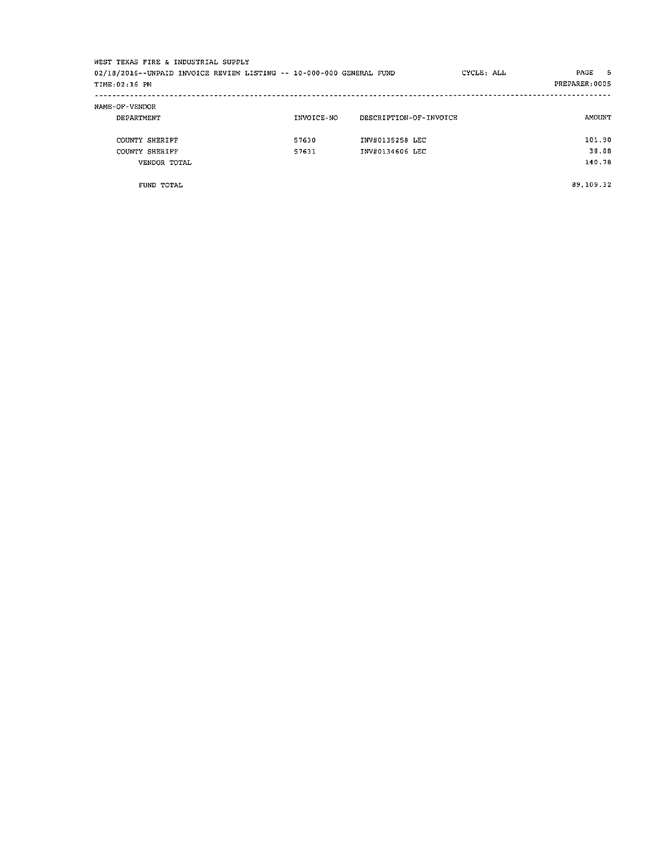| WEST TEXAS FIRE & INDUSTRIAL SUPPLY                                  |            |                        |            |                |
|----------------------------------------------------------------------|------------|------------------------|------------|----------------|
| 02/18/2016--UNPAID INVOICE REVIEW LISTING -- 10-000-000 GENERAL FUND |            |                        | CYCLE: ALL | PAGE 5         |
| TIME: 02:16 PM                                                       |            |                        |            | PREPARER: 0005 |
| NAME-OF-VENDOR                                                       |            |                        |            |                |
| DEPARTMENT                                                           | INVOICE-NO | DESCRIPTION-OF-INVOICE |            | AMOUNT         |
| COUNTY SHERIFF                                                       | 57630      | INV#0135258 LEC        |            | 101.90         |
| COUNTY SHERIFF                                                       | 57631      | INV#0134606 LEC        |            | 38.88          |
| VENDOR TOTAL                                                         |            |                        |            | 140.78         |
|                                                                      |            |                        |            |                |
|                                                                      |            |                        |            |                |

FUND TOTAL

89,109.32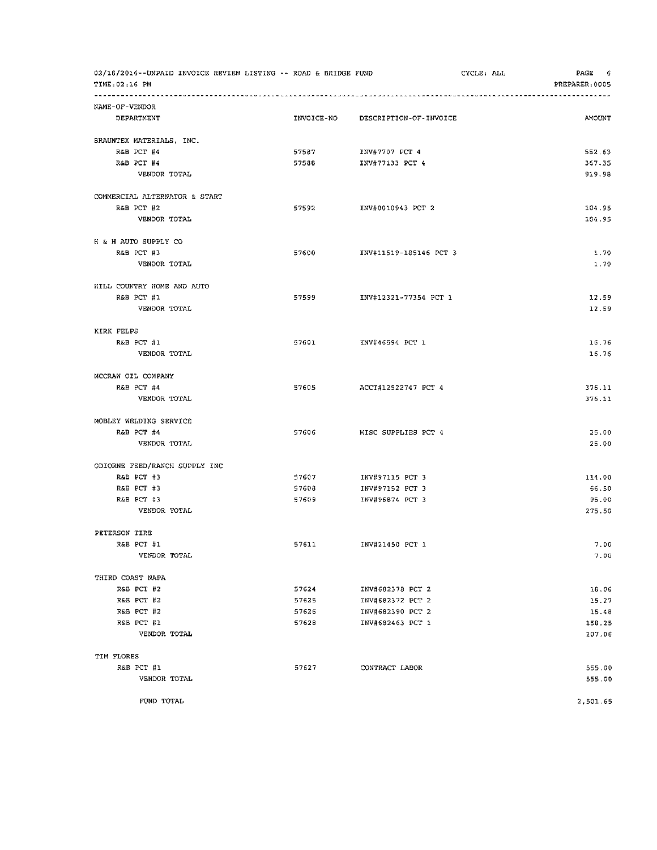| 02/18/2016--UNPAID INVOICE REVIEW LISTING -- ROAD & BRIDGE FUND<br>TIME: 02:16 PM |            |                        | CYCLE: ALL | PAGE 6<br>PREPARER: 0005 |
|-----------------------------------------------------------------------------------|------------|------------------------|------------|--------------------------|
| NAME-OF-VENDOR                                                                    |            |                        |            |                          |
| DEPARTMENT                                                                        | INVOICE-NO | DESCRIPTION-OF-INVOICE |            | AMOUNT                   |
| BRAUNTEX MATERIALS, INC.                                                          |            |                        |            |                          |
| R&B PCT #4                                                                        | 57587      | INV#7707 PCT 4         |            | 552.63                   |
| R&B PCT #4                                                                        | 57588      | INV#77133 PCT 4        |            | 367.35                   |
| VENDOR TOTAL                                                                      |            |                        |            | 919.98                   |
| COMMERCIAL ALTERNATOR & START                                                     |            |                        |            |                          |
| R&B PCT #2                                                                        | 57592      | INV#0010943 PCT 2      |            | 104.95                   |
| VENDOR TOTAL                                                                      |            |                        |            | 104.95                   |
| H & H AUTO SUPPLY CO                                                              |            |                        |            |                          |
| R&B PCT #3                                                                        | 57600      | INV#11519-185146 PCT 3 |            | 1.70                     |
| VENDOR TOTAL                                                                      |            |                        |            | 1.70                     |
| HILL COUNTRY HOME AND AUTO                                                        |            |                        |            |                          |
| R&B PCT #1                                                                        | 57599      | INV#12321-77354 PCT 1  |            | 12.59                    |
| VENDOR TOTAL                                                                      |            |                        |            | 12.59                    |
| KIRK FELPS                                                                        |            |                        |            |                          |
| R&B PCT #1                                                                        | 57601      | INV#46594 PCT 1        |            | 16.76                    |
| VENDOR TOTAL                                                                      |            |                        |            | 16.76                    |
| MCCRAW OIL COMPANY                                                                |            |                        |            |                          |
| R&B PCT #4                                                                        | 57605      | ACCT#12522747 PCT 4    |            | 376.11                   |
| VENDOR TOTAL                                                                      |            |                        |            | 376.11                   |
| MOBLEY WELDING SERVICE                                                            |            |                        |            |                          |
| R&B PCT #4                                                                        | 57606      | MISC SUPPLIES PCT 4    |            | 25.00                    |
| VENDOR TOTAL                                                                      |            |                        |            | 25.00                    |
| ODIORNE FEED/RANCH SUPPLY INC                                                     |            |                        |            |                          |
| R&B PCT #3                                                                        | 57607      | INV#97115 PCT 3        |            | 114.00                   |
| R&B PCT #3                                                                        | 57608      | INV#97152 PCT 3        |            | 66.50                    |
| R&B PCT #3                                                                        | 57609      | INV#96874 PCT 3        |            | 95.00                    |
| VENDOR TOTAL                                                                      |            |                        |            | 275.50                   |
| PETERSON TIRE                                                                     |            |                        |            |                          |
| R&B PCT #1                                                                        | 57611      | INV#21450 PCT 1        |            | 7.00                     |
| VENDOR TOTAL                                                                      |            |                        |            | 7.00                     |
| THIRD COAST NAPA                                                                  |            |                        |            |                          |
| R&B PCT #2                                                                        | 57624      | INV#682378 PCT 2       |            | 18.06                    |
| R&B PCT #2                                                                        | 57625      | INV#682372 PCT 2       |            | 15.27                    |
| R&B PCT #2                                                                        | 57626      | INV#682390 PCT 2       |            | 15.48                    |
| R&B PCT #1                                                                        | 57628      | INV#682463 PCT 1       |            | 158.25                   |
| VENDOR TOTAL                                                                      |            |                        |            | 207.06                   |
| TIM FLORES                                                                        |            |                        |            |                          |
| R&B PCT #1                                                                        | 57627      | CONTRACT LABOR         |            | 555.00                   |
| VENDOR TOTAL                                                                      |            |                        |            | 555.00                   |
| FUND TOTAL                                                                        |            |                        |            | 2,501.65                 |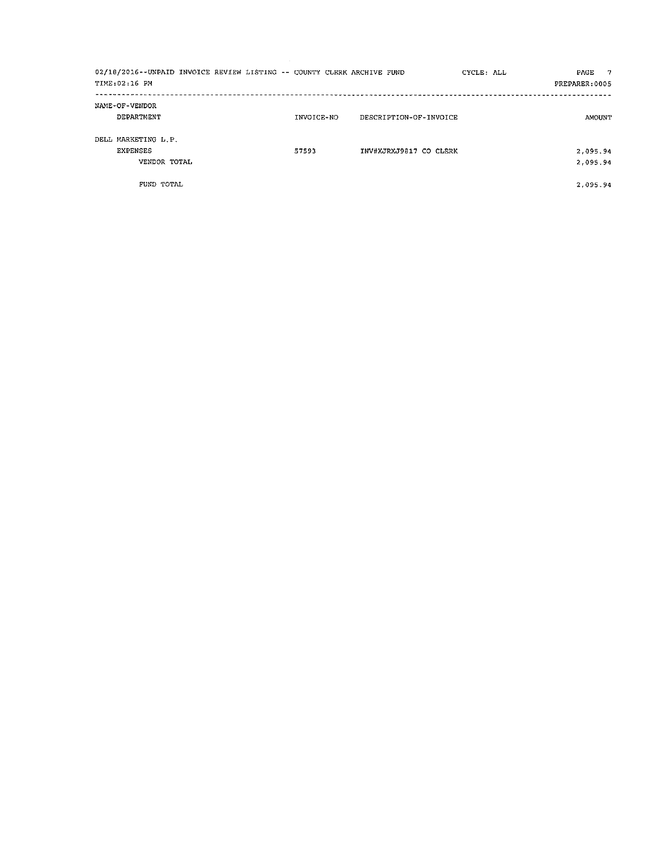| TIME: 02:16 PM | 02/18/2016--UNPAID INVOICE REVIEW LISTING -- COUNTY CLERK ARCHIVE FUND |            |                        | CYCLE: ALL | - 7<br>PAGE<br>PREPARER: 0005 |
|----------------|------------------------------------------------------------------------|------------|------------------------|------------|-------------------------------|
|                | NAME-OF-VENDOR<br>DEPARTMENT                                           | INVOICE-NO | DESCRIPTION-OF-INVOICE |            | AMOUNT                        |
|                | DELL MARKETING L.P.<br>EXPENSES<br>VENDOR TOTAL                        | 57593      | INV#XJRXJ9817 CO CLERK |            | 2,095.94<br>2,095.94          |
|                | FUND TOTAL                                                             |            |                        |            | 2.095.94                      |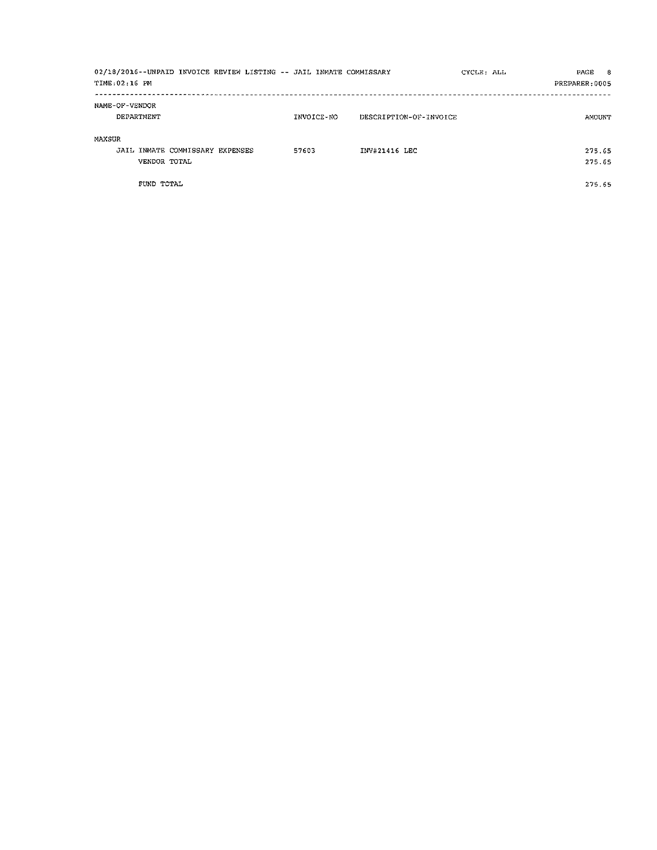| 02/18/2016--UNPAID INVOICE REVIEW LISTING -- JAIL INMATE COMMISSARY<br>TIME: 02:16 PM |  |       |            |                        | CYCLE: ALL | PAGE 8<br>PREPARER: 0005 |
|---------------------------------------------------------------------------------------|--|-------|------------|------------------------|------------|--------------------------|
| NAME-OF-VENDOR<br>DEPARTMENT                                                          |  |       | INVOICE-NO | DESCRIPTION-OF-INVOICE |            | AMOUNT                   |
| MAXSUR<br>JAIL INMATE COMMISSARY EXPENSES<br>VENDOR TOTAL                             |  | 57603 |            | INV#21416 LEC          |            | 275.65<br>275.65         |
| FUND TOTAL                                                                            |  |       |            |                        |            | 275.65                   |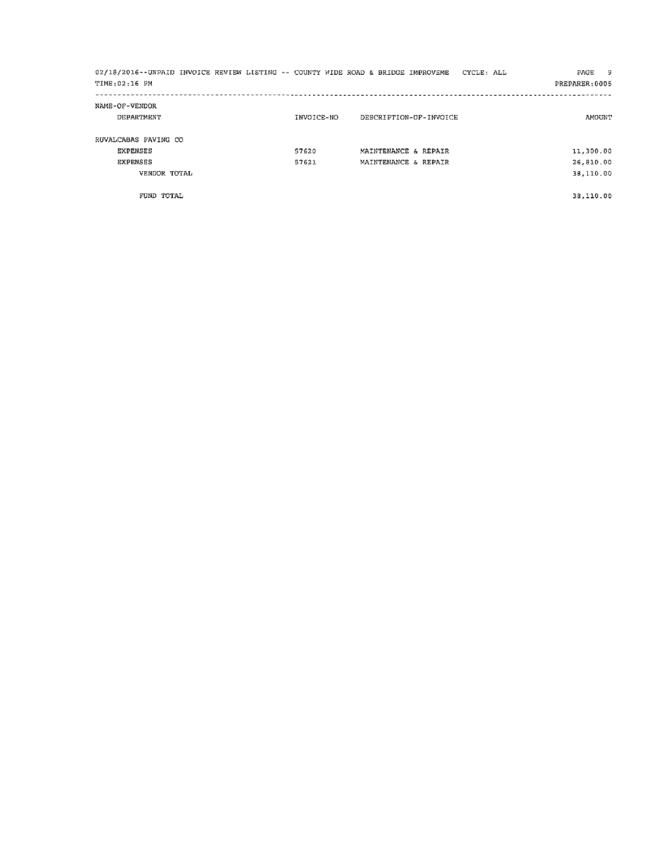| 02/18/2016--UNPAID INVOICE REVIEW LISTING -- COUNTY WIDE ROAD & BRIDGE IMPROVEME CYCLE: ALL |            |                        | PAGE<br>- 9    |
|---------------------------------------------------------------------------------------------|------------|------------------------|----------------|
| TIME: 02:16 PM                                                                              |            |                        | PREPARER: 0005 |
| NAME-OF-VENDOR                                                                              |            |                        |                |
| <b>DEPARTMENT</b>                                                                           | INVOICE-NO | DESCRIPTION-OF-INVOICE | <b>AMOUNT</b>  |
| RUVALCABAS PAVING CO                                                                        |            |                        |                |
| EXPENSES                                                                                    | 57620      | MAINTENANCE & REPAIR   | 11,300.00      |
| <b>EXPENSES</b>                                                                             | 57621      | MAINTENANCE & REPAIR   | 26.810.00      |
| VENDOR TOTAL                                                                                |            |                        | 38,110.00      |
| FUND TOTAL                                                                                  |            |                        | 38,110.00      |

 $\label{eq:2.1} \frac{1}{\sqrt{2}}\int_{\mathbb{R}^3}\frac{1}{\sqrt{2}}\left(\frac{1}{\sqrt{2}}\right)^2\frac{1}{\sqrt{2}}\left(\frac{1}{\sqrt{2}}\right)^2\frac{1}{\sqrt{2}}\left(\frac{1}{\sqrt{2}}\right)^2.$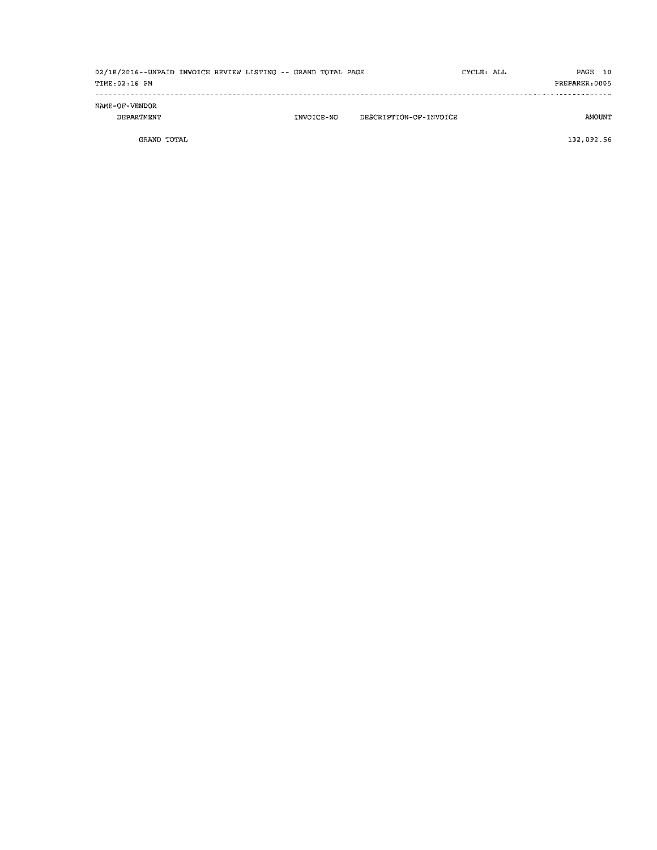| 02/18/2016--UNPAID INVOICE REVIEW LISTING -- GRAND TOTAL PAGE<br>TIME: 02:16 PM |  |            |                        | CYCLE: ALL | PAGE 10<br>PREPARER: 0005 |  |
|---------------------------------------------------------------------------------|--|------------|------------------------|------------|---------------------------|--|
| NAME-OF-VENDOR<br>DEPARTMENT                                                    |  | INVOICE-NO | DESCRIPTION-OF-INVOICE |            | AMOUNT                    |  |

GRAND TOTAL

132,092.56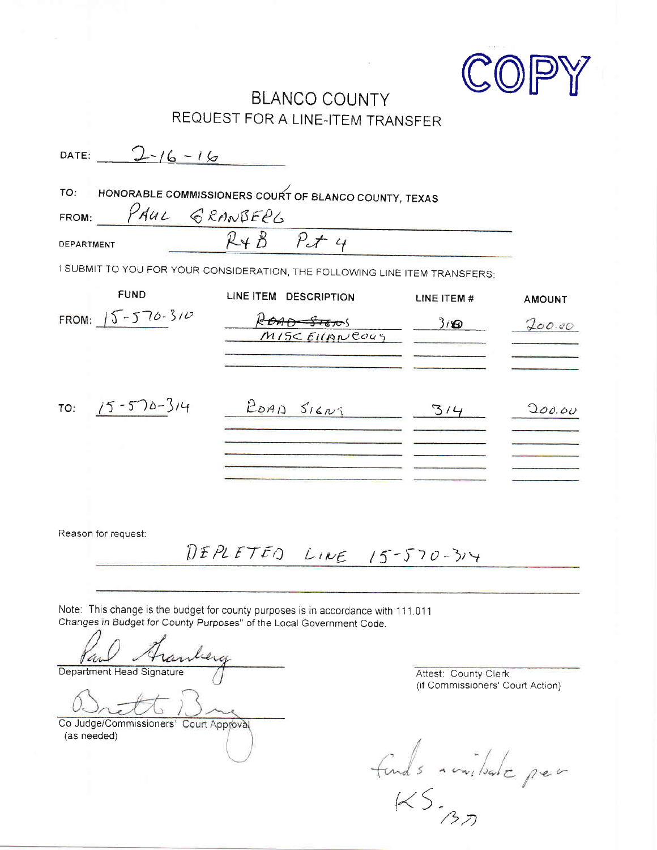

# **BLANCO COUNTY** REQUEST FOR A LINE-ITEM TRANSFER

| $2 - 16 - 16$<br>DATE:<br>TO: | HONORABLE COMMISSIONERS COURT OF BLANCO COUNTY, TEXAS                      |             |               |
|-------------------------------|----------------------------------------------------------------------------|-------------|---------------|
| PAUL GRANBERG<br>FROM:        |                                                                            |             |               |
| DEPARTMENT                    | $R+B$ $P+4$                                                                |             |               |
|                               | I SUBMIT TO YOU FOR YOUR CONSIDERATION, THE FOLLOWING LINE ITEM TRANSFERS: |             |               |
| <b>FUND</b>                   | LINE ITEM DESCRIPTION                                                      | LINE ITEM # | <b>AMOUNT</b> |
| FROM: $15 - 570 - 310$        | <del>گ آن گا آگ</del><br>MISC EILANCOUS                                    | 3/9         | 200.00        |
|                               |                                                                            |             |               |
| $15 - 570 - 314$<br>TO:       | ROAD SIGNS                                                                 | 3/4         | 200.60        |
|                               |                                                                            |             |               |
|                               |                                                                            |             |               |
| Reason for request:           | DEPLETED LINE 15-570-314                                                   |             |               |
|                               |                                                                            |             |               |

Note: This change is the budget for county purposes is in accordance with 111.011 Changes in Budget for County Purposes" of the Local Government Code.

lu Department Head Signature

Co Judge/Commissioners' Court Approval (as needed)

Attest: County Clerk (if Commissioners' Court Action)

funds available per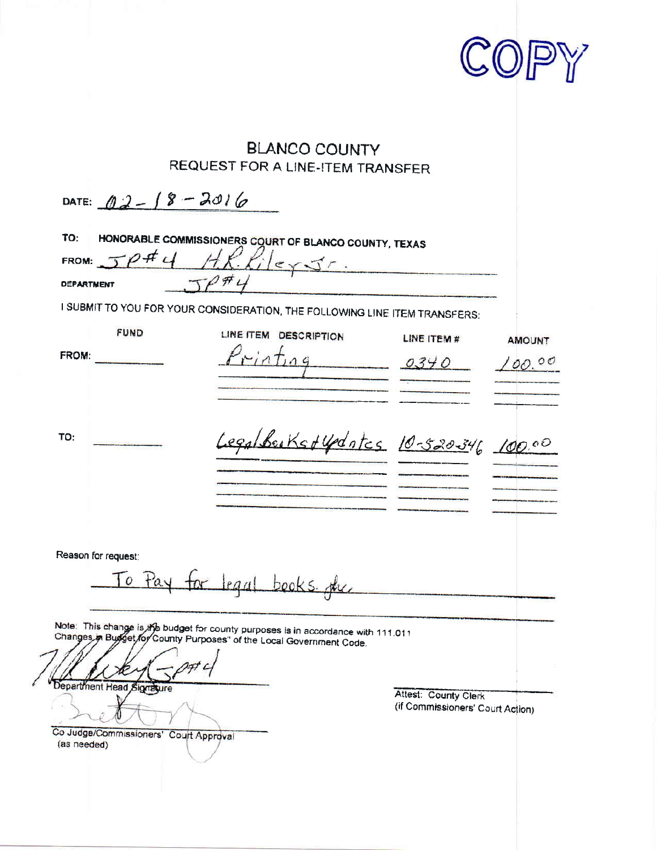

# **BLANCO COUNTY** REQUEST FOR A LINE-ITEM TRANSFER

| <b>DEPARTMENT</b>   | $f_i _{e}$                                                                                                                                                                              |                      |               |
|---------------------|-----------------------------------------------------------------------------------------------------------------------------------------------------------------------------------------|----------------------|---------------|
| <b>FUND</b>         | I SUBMIT TO YOU FOR YOUR CONSIDERATION, THE FOLLOWING LINE ITEM TRANSFERS:<br>LINE ITEM DESCRIPTION                                                                                     | LINE ITEM #          | <b>AMOUNT</b> |
| FROM:               | $rint_0$                                                                                                                                                                                | 0340                 | 00.00         |
| TO:                 | Legalburkstydates 10-520346 100.00                                                                                                                                                      |                      |               |
|                     |                                                                                                                                                                                         |                      |               |
| Reason for request: |                                                                                                                                                                                         |                      |               |
| $\overline{O}$      | Pay for legal books the                                                                                                                                                                 |                      |               |
|                     | Note: This change is the budget for county purposes is in accordance with 111.011<br>Changes in Budget for County Purposes'' of the Local Government Code.<br>Department Head Signature | Attest: County Clerk |               |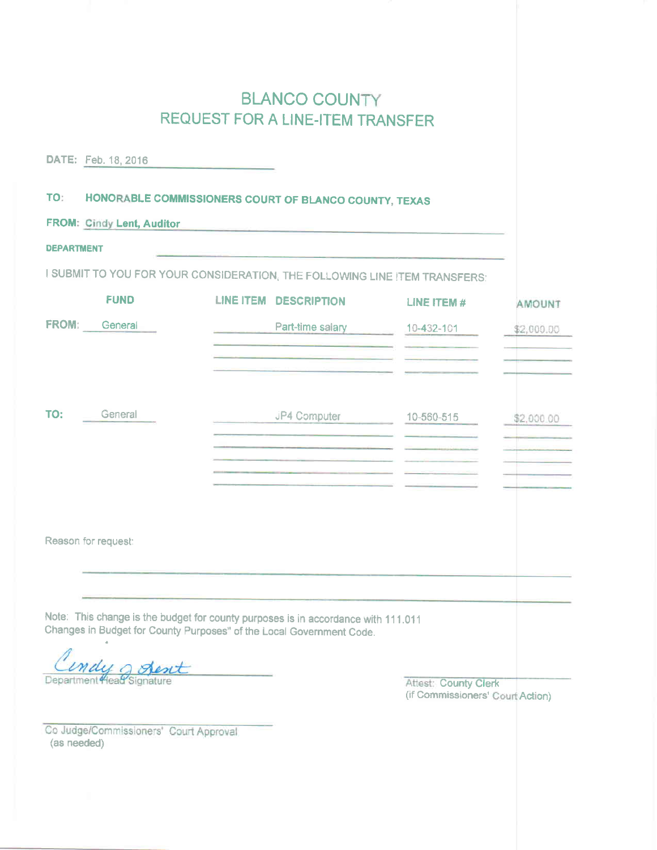# **BLANCO COUNTY** REQUEST FOR A LINE-ITEM TRANSFER

| DATE: Feb. 18, 2016                                                                                                                                       |                  |                                                       |                                                                 |               |
|-----------------------------------------------------------------------------------------------------------------------------------------------------------|------------------|-------------------------------------------------------|-----------------------------------------------------------------|---------------|
| TO:                                                                                                                                                       |                  | HONORABLE COMMISSIONERS COURT OF BLANCO COUNTY, TEXAS |                                                                 |               |
| <b>FROM: Cindy Lent, Auditor</b>                                                                                                                          |                  |                                                       |                                                                 |               |
| <b>DEPARTMENT</b>                                                                                                                                         |                  |                                                       |                                                                 |               |
| I SUBMIT TO YOU FOR YOUR CONSIDERATION, THE FOLLOWING LINE ITEM TRANSFERS:                                                                                |                  |                                                       |                                                                 |               |
| <b>FUND</b>                                                                                                                                               | <b>LINE ITEM</b> | <b>DESCRIPTION</b>                                    | LINE ITEM #                                                     | <b>AMOUNT</b> |
| FROM: General                                                                                                                                             |                  | Part-time salary                                      | $10 - 432 - 101$                                                | \$2,000.00    |
|                                                                                                                                                           |                  |                                                       |                                                                 |               |
|                                                                                                                                                           |                  |                                                       |                                                                 |               |
| TO:<br>General                                                                                                                                            |                  | JP4 Computer                                          | 10-560-515                                                      | \$2,000.00    |
|                                                                                                                                                           |                  |                                                       |                                                                 |               |
|                                                                                                                                                           |                  |                                                       |                                                                 |               |
|                                                                                                                                                           |                  |                                                       |                                                                 |               |
|                                                                                                                                                           |                  |                                                       |                                                                 |               |
| Reason for request:                                                                                                                                       |                  |                                                       |                                                                 |               |
|                                                                                                                                                           |                  |                                                       |                                                                 |               |
| Note: This change is the budget for county purposes is in accordance with 111.011<br>Changes in Budget for County Purposes" of the Local Government Code. |                  |                                                       |                                                                 |               |
|                                                                                                                                                           |                  |                                                       |                                                                 |               |
| ndu c<br>Department Head Signature                                                                                                                        |                  |                                                       | <b>Attest: County Clerk</b><br>(if Commissioners' Court Action) |               |

Co Judge/Commissioners' Court Approval (as needed)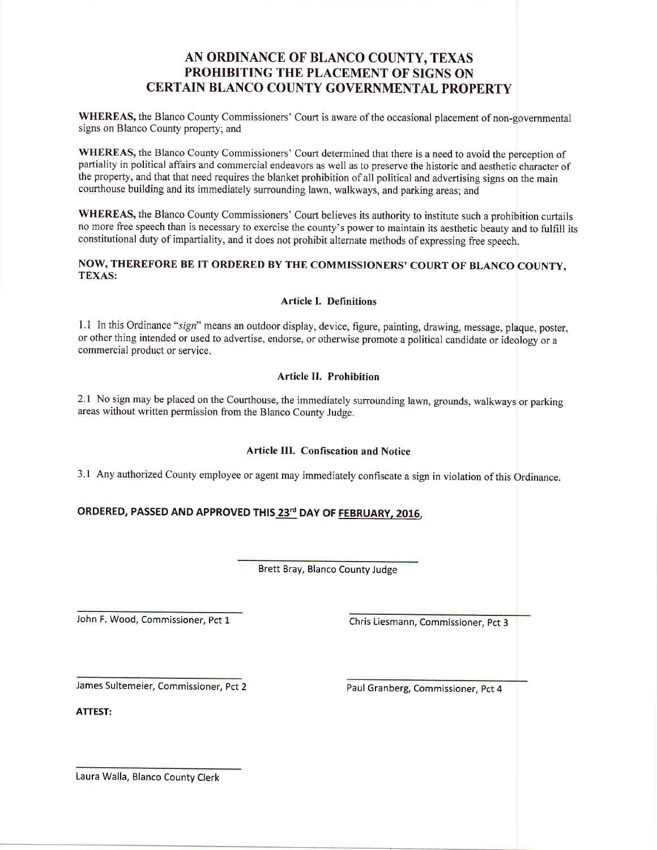### AN ORDINANCE OF BLANCO COUNTY, TEXAS PROHIBITING THE PLACEMENT OF SIGNS ON CERTAIN BLANCO COUNTY GOVERNMENTAL PROPERTY

WHEREAS, the Blanco County Commissioners' Court is aware of the occasional placement of non-governmental signs on Blanco County properfy; and

WHEREAS, the Blanco County Commissioners' Court determined that there is a need to avoid the perception of partiality in political affairs and commercial endeavors as well as to preserve the historic and aesthetic character of the properfy, and that that need requires the blanket prohibition of all political and advertising signs on the main courthouse building and its immediately surrounding lawn, walkways, and parking areas; and

WHEREAS, the Blanco County Commissioners' Court believes its authority to institute such a prohibition curtails no more free speech than is necessary to exercise the county's power to maintain its aesthetic beauty and to fulfill its constitutional duty of impartiality, and it does not prohibit alternate methods of expressing free speech.

#### NOW, THEREFORE BE IT ORDERED BY THE COMMISSIONERS' COURT OF BLANCO COUNTY. TEXAS:

#### Article I. Definitions

1.1 In this Ordinance "sign" means an outdoor display, device, figure, painting, drawing, message, plaque, poster, or other thing intended or used to advertise, endorse, or otherwise promote a political candidate or ideology or <sup>a</sup> commercial product or service.

#### Article II. Prohibition

2.1 No sign may be placed on the Courthouse, the immediately surrounding lawn, grounds, walkways or parking areas without written permission from the Blanco County Judge.

#### Article III. Confiscation and Notice

3.1 Any authorized County employee or agent may immediately confiscate a sign in violation of this Ordinance.

#### ORDERED, PASSED AND APPROVED THIS 23rd DAY OF FEBRUARY, 2016,

Brett Bray, Blanco County Judge

John F. Wood, Commissioner, Pct 1 Chris Liesmann, Commissioner, Pct 3

James Sultemeier, Commissioner, pct <sup>2</sup>

Paul Granberg, Commissioner, pct 4

ATTEST:

Laura Walla, Blanco County Clerk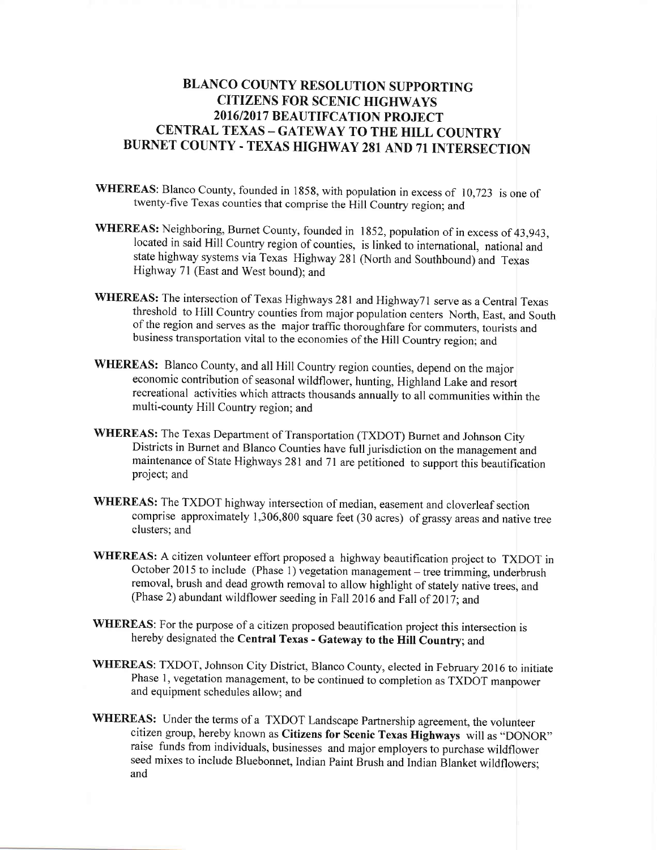### BLANCO COUNTY RESOLUTION SUPPORTING CITIZENS FOR SCENIC HIGHWAYS 2016/2017 BEAUTIFCATION PROJECT CENTRAL TEXAS - GATEWAY TO THE HILL COUNTRY BURNET COUNTY. TEXAS HIGHWAY 281 AND 71 INTERSECTION

- WHEREAS: Blanco County, founded in 1858, with population in excess of 10,723 is one of twenty-five Texas counties that comprise the Hill country region; and
- WHEREAS: Neighboring, Burnet County, founded in 1852, population of in excess of 43,943, located in said Hill Country region of counties, is linked to international, national and state highway systems via Texas Highway 281 (North and Southbound) and Texas Highway 71 (East and West bound); and
- WHEREAS: The intersection of Texas Highways 281 and Highway71 serve as a Central Texas threshold to Hill Country counties from major population centers North, East, and South of the region and serves as the major traffic thoroughfare for commuters, tourists and business transportation vital to the economies of the Hill Country region; and
- WHEREAS: Blanco County, and all Hill Country region counties, depend on the major economic contribution of seasonal wildflower, hunting, Highland Lake and resort recreational activities which attracts thousands annually to all communities within the multi-county Hill Country region; and
- WHEREAS: The Texas Department of Transportation (TXDOT) Burnet and Johnson City Districts in Burnet and Blanco Counties have full jurisdiction on the management and maintenance of State Highways 281 and 7l are petitioned to support this beautification project; and
- WHEREAS: The TXDOT highway intersection of median, easement and cloverleaf section comprise approximately 1,306,800 square feet (30 acres) of grassy areas and native tree clusters; and
- WHEREAS: A citizen volunteer effort proposed a highway beautification project to TXDOT in October 2015 to include (Phase 1) vegetation management – tree trimming, underbrush removal, brush and dead growth removal to allow highlight of stately native trees, and (Phase 2) abundant wildflower seeding in Fall 2016 and Fall of 2017; and
- WHEREAS: For the purpose of a citizen proposed beautification project this intersection is hereby designated the Central Texas - Gateway to the Hill Country; and
- WHEREAS: TXDOT, Johnson City District, Blanco County, elected in February 2016 to initiate Phase 1, vegetation management, to be continued to completion as TXDOT manpower and equipment schedules allow; and
- WHEREAS: Under the terms of a TXDOT Landscape Partnership agreement, the volunteer citizen group, hereby known as Citizens for Scenic Texas Highways will as "DONOR" raise funds from individuals, businesses and major employers to purchase wildflower seed mixes to include Bluebonnet, Indian Paint Brush and Indian Blanket wildflowers: and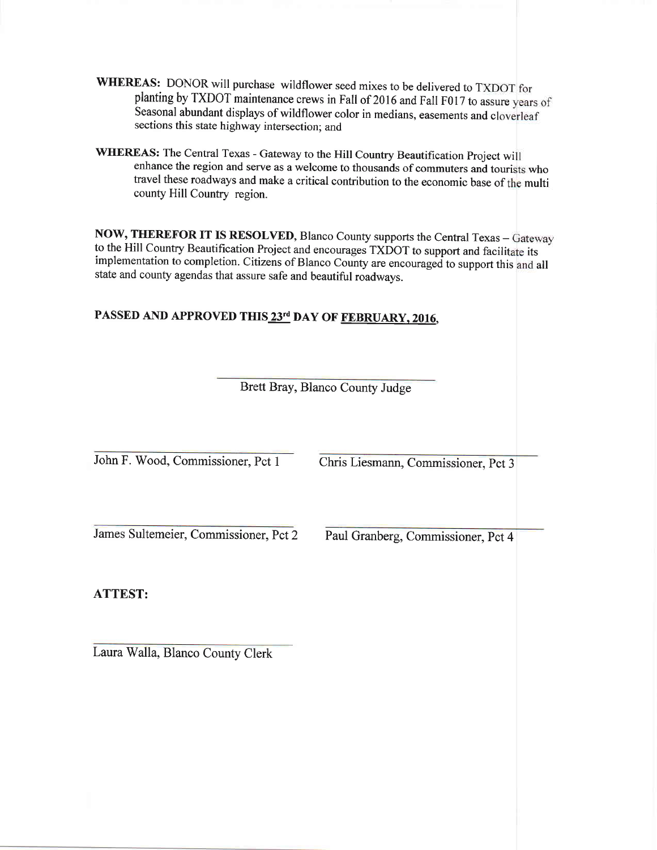- WHEREAS: DONOR will purchase wildflower seed mixes to be delivered to TXDOT for Seasonal abundant displays of wildflower color in medians, easements and cloverleaf sections this state highway intersection; and planting by TXDOT maintenance crews in Fall of 2016 and Fall F017 to assure years of
- WHEREAS: The Central Texas Gateway to the Hill Country Beautification Project will enhance the region and serve as a welcome to thousands of commuters and tourists who travel these roadways and make a critical contribution to the economic base of the multi county Hill Country region.

NOW, THEREFOR IT IS RESOLVED, Blanco County supports the Central Texas - Gateway to the Hill Country Beautification Project and encourages TXDOT to support and facilitate its implementation to completion. Citizens of Blanco County are encouraged to support this and all state and county agendas that assure safe and beautiful roadwavs.

## PASSED AND APPROVED THIS 23<sup>rd</sup> DAY OF FEBRUARY, 2016,

Brett Bray, Blanco County Judge

John F. Wood, Commissioner, Pct I James Sultemeier, Commissioner, Pct 2 ATTEST: Chris Liesmann, Commissioner. Pct 3 Paul Granberg, Commissioner, Pct 4

Laura Walla, Blanco County Clerk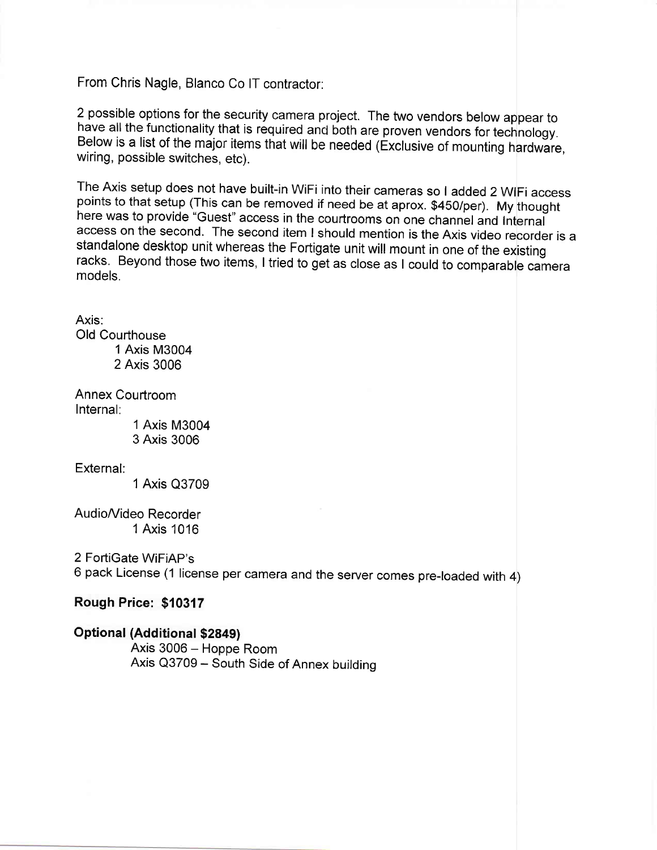From Chris Nagle, Blanco Co lT contractor:

<sup>2</sup>possible options for the security camera project. The two vendors below appear to have all the functionality that is required anc both are proven vendors for technology. Below is a list of the major items that will be needed (Exclusive of mounting hardware, wiring, possible switches, etc).

The Axis setup does not have built-in WiFi into their cameras so I added 2 WIFi access points to that setup (This can be removed if need be at aprox. \$450/per). My thought here was to provide "Guest" access in the courtrooms on one channel and Internal access on the second. The second item I should mention is the Axis video recorder is a<br>standalone desktop unit whereas the Fortigate unit will mount in one of the existing racks. Beyond those two items, I tried to get as close as I could to comparable camera models.

Axis: Old Courthouse 1 Axis M3004 2 Axis 3006

Annex Courtroom Internal:

1 Axis M3004 3 Axis 3006

External:

1 Axis Q3709

AudioA/ideo Recorder 1 Axis 1016

2 FortiGate WiFiAP's

6 pack License (1 license per camera and the server comes pre-loaded with 4)

#### Rough Price: \$10317

Optional (Additional \$2849) Axis 3006 - Hoppe Room Axis Q3709 - South Side of Annex building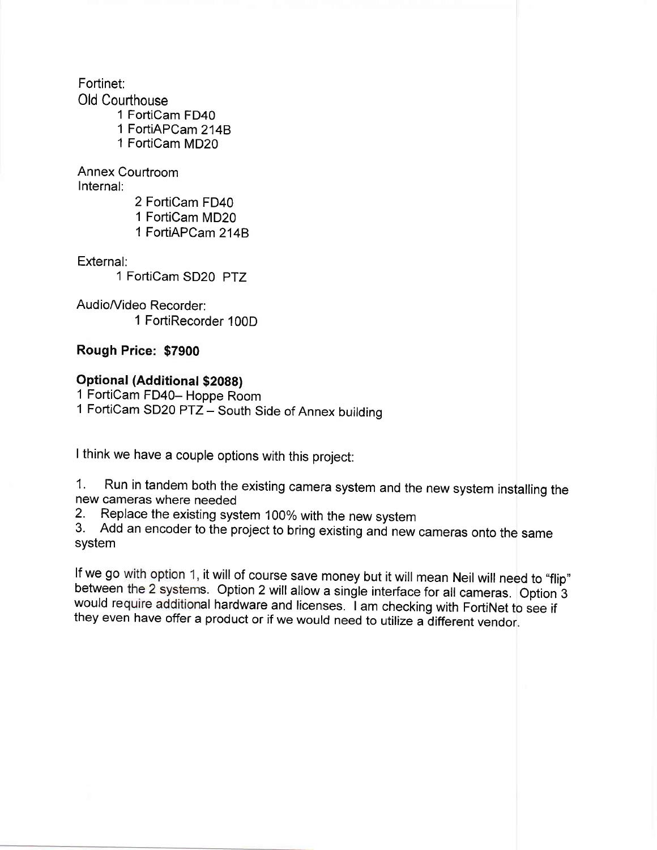Fortinet:

Old Courthouse

1 FortiCam FD40 1 FortiAPC am 2148 1 FortiCam MD20

Annex Courtroom

Internal:

2 FortiCam FD40 1 FortiCam MD20 1 FortiAPCam 2148

External:

1 FortiCam SD20 PTZ

Audio/Video Recorder: 1 FortiRecorder 100D

### Rough Price: \$7900

### Optional (Additional \$2088)

1 FortiCam FD40- Hoppe Room 1 FortiCam SD20 PTZ - South Side of Annex building

I think we have a couple options with this project:

1. Run in tandem both the existing camera system and the new system installing the new cameras where needed

2. Replace the existing system 100% with the new system<br>3. Add an encoder to the project to bring existing and new cameras onto the same system

If we go with option 1, it will of course save money but it will mean Neil will need to "flip" between the 2 systems. Option 2 will allow a single interface for all cameras. Option 3 would require additional hardware and licenses. I am checking with FortiNet to see if they even have offer a product or if we would need to utilize a different vendor.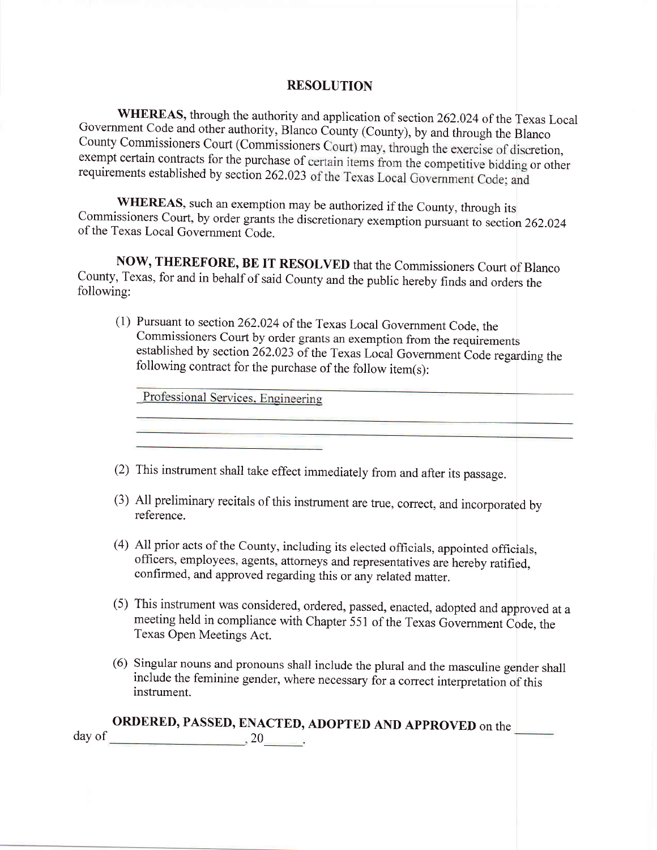#### RESOLUTION

WHEREAS, through the authority and application of section 262.024 of the Texas Local Government Code and other authority, Blanco County (County), by and through the Blanco County Commissioners Court (Commissioners Court) m exempt certain contracts for the purchase of certain items from the competitive bidding or other requirements established by section 262.023 of the Texas Local Government Code; and

WHEREAS, such an exemption may be authorized if the County, through its Commissioners Court, by order grants the discretionary exemption pursuant to section 262.024 of the Texas Local Government Code.

NOW, THEREFORE, BE IT RESOLVED that the Commissioners Court of Blanco County, Texas, for and in behalf of said County and the public hereby finds and orders the followins:

(1) Pursuant to section 262.024 of the Texas Local Government code, the Commissioners Court by order grants an exemption from the requirements established by section  $262.023$  of the Texas Local Government Code regarding the following contract for the purchase of the follow item(s):

Professional Services, Engineering

|  | $(2)$ This instrument shall take effect immediately from and after its passage |  |  |
|--|--------------------------------------------------------------------------------|--|--|
|--|--------------------------------------------------------------------------------|--|--|

- (3) All preliminary recitals of this instrument are true, correct, and incorporated by reference.
- (4) All prior acts of the County, including its elected officials, appointed officials, officers, employees, agents, attomeys and representatives are hereby ratified, confirmed, and approved regarding this or any related matter.
- (5) This instrument was considered, ordered, passed, enacted, adopted and approved at <sup>a</sup> meeting held in compliance with Chapter 551 of the Texas Government Code, the Texas Open Meetings Act.
- (6) Singular nouns and pronouns shall include the plural and the masculine gender shall include the feminine gender, where necessary for a correct interpretation of this instrument.

|        | <b>ORDERED, PASSED, ENACTED, ADOPTED AND APPROVED</b> on the |  |
|--------|--------------------------------------------------------------|--|
| day of | ∠€                                                           |  |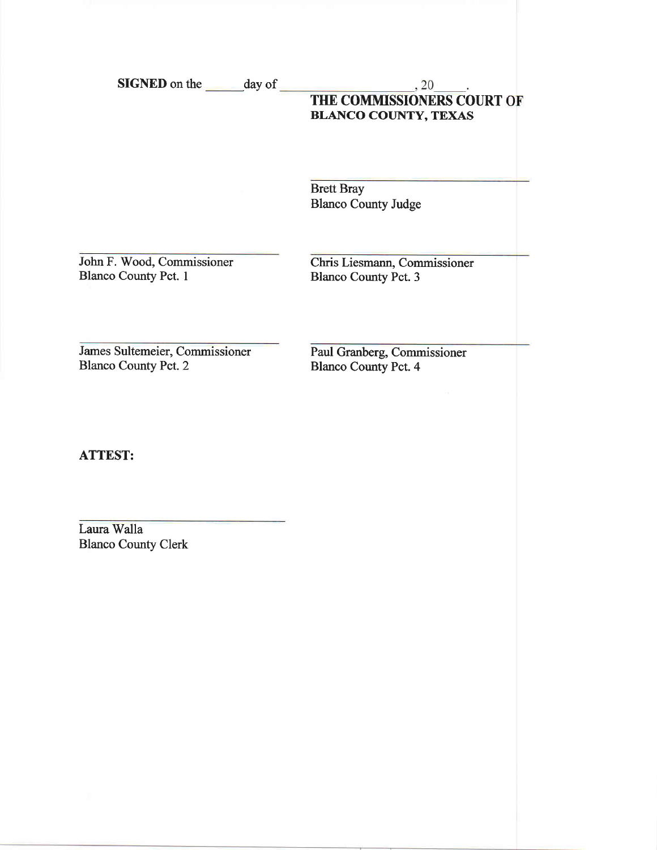SIGNED on the day of

# $\frac{1}{20}$ ,  $\frac{20}{20}$ . BLANCO COUNTY, TEXAS

Brett Bray Blanco County Judge

John F. Wood, Commissioner Blanco County Pct. I

Chris Liesmann, Commissioner Blanco County Pct. 3

James Sultemeier, Commissioner Blanco County Pct.2

Paul Granberg, Commissioner Blanco County Pct. 4

ATTEST:

Laura Walla Blanco County Clerk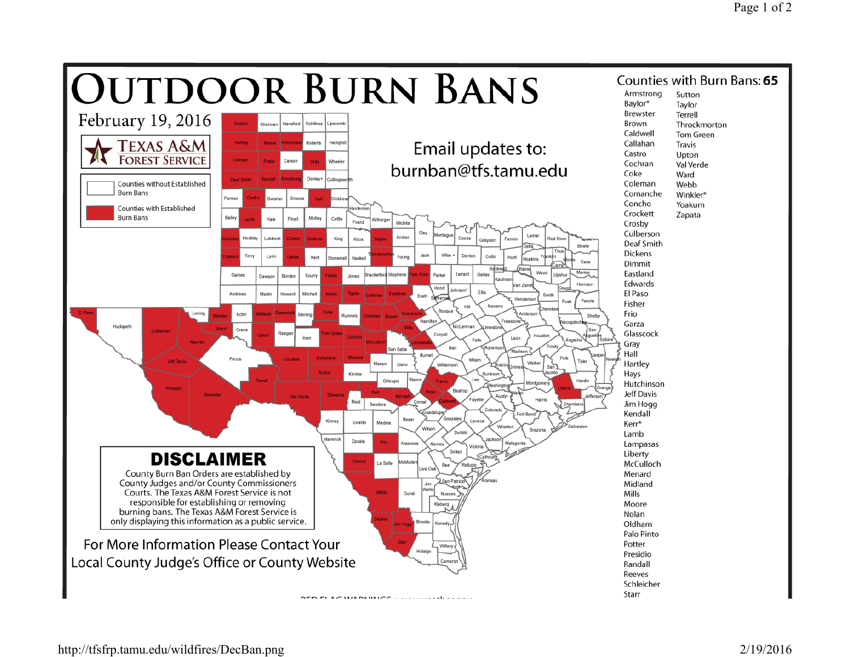